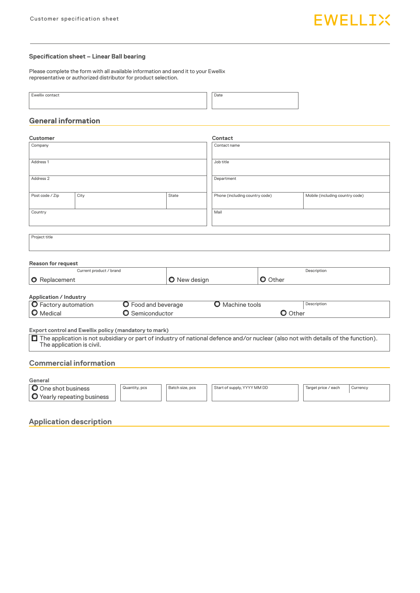### **Specification sheet – Linear Ball bearing**

Please complete the form with all available information and send it to your Ewellix representative or authorized distributor for product selection.

| <br>Eurolliv<br>contact | Date |
|-------------------------|------|
|                         | ---- |
|                         |      |
|                         |      |
|                         |      |

## **General information**

| <b>Customer</b>               |                                                              |                        |                     | Contact                                                                                                                             |                |                                 |  |  |  |  |  |
|-------------------------------|--------------------------------------------------------------|------------------------|---------------------|-------------------------------------------------------------------------------------------------------------------------------------|----------------|---------------------------------|--|--|--|--|--|
| Company                       |                                                              |                        |                     | Contact name                                                                                                                        |                |                                 |  |  |  |  |  |
| Address 1                     |                                                              |                        |                     | Job title                                                                                                                           |                |                                 |  |  |  |  |  |
| Address <sub>2</sub>          |                                                              |                        |                     | Department                                                                                                                          |                |                                 |  |  |  |  |  |
| Post code / Zip               | City                                                         |                        |                     | Phone (including country code)                                                                                                      |                | Mobile (including country code) |  |  |  |  |  |
| Country                       |                                                              |                        |                     | Mail                                                                                                                                |                |                                 |  |  |  |  |  |
|                               |                                                              |                        |                     |                                                                                                                                     |                |                                 |  |  |  |  |  |
| Project title                 |                                                              |                        |                     |                                                                                                                                     |                |                                 |  |  |  |  |  |
| <b>Reason for request</b>     |                                                              |                        |                     |                                                                                                                                     |                |                                 |  |  |  |  |  |
|                               | Current product / brand                                      |                        |                     |                                                                                                                                     |                | Description                     |  |  |  |  |  |
| <b>O</b> Replacement          |                                                              |                        | <b>O</b> New design |                                                                                                                                     | <b>O</b> Other |                                 |  |  |  |  |  |
| <b>Application / Industry</b> |                                                              |                        |                     |                                                                                                                                     |                |                                 |  |  |  |  |  |
| O Factory automation          |                                                              | O Food and beverage    |                     | <b>O</b> Machine tools                                                                                                              |                | Description                     |  |  |  |  |  |
| <b>O</b> Medical              |                                                              | <b>O</b> Semiconductor |                     |                                                                                                                                     | <b>O</b> Other |                                 |  |  |  |  |  |
|                               | <b>Export control and Ewellix policy (mandatory to mark)</b> |                        |                     |                                                                                                                                     |                |                                 |  |  |  |  |  |
|                               | The application is civil.                                    |                        |                     | □ The application is not subsidiary or part of industry of national defence and/or nuclear (also not with details of the function). |                |                                 |  |  |  |  |  |
|                               | <b>Commercial information</b>                                |                        |                     |                                                                                                                                     |                |                                 |  |  |  |  |  |
| General                       |                                                              |                        |                     |                                                                                                                                     |                |                                 |  |  |  |  |  |
| O One shot business           |                                                              | Quantity, pcs          | Batch size, pcs     | Start of supply, YYYY MM DD                                                                                                         |                | Target price / each<br>Currency |  |  |  |  |  |
|                               | O Yearly repeating business                                  |                        |                     |                                                                                                                                     |                |                                 |  |  |  |  |  |

**Application description**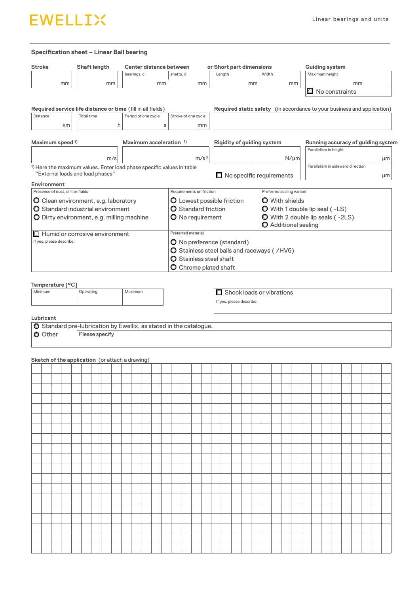

#### **Specification sheet – Linear Ball bearing**

|                      |                                  |    |  | Shaft length                                                                                              |    |     |  |             |                     |    |                         | Center distance between |                                                                    |        |                                   | or Short part dimensions |                                                                         |           |  | <b>Guiding system</b>              |    |  |    |  |  |  |  |  |
|----------------------|----------------------------------|----|--|-----------------------------------------------------------------------------------------------------------|----|-----|--|-------------|---------------------|----|-------------------------|-------------------------|--------------------------------------------------------------------|--------|-----------------------------------|--------------------------|-------------------------------------------------------------------------|-----------|--|------------------------------------|----|--|----|--|--|--|--|--|
|                      |                                  |    |  |                                                                                                           |    |     |  | bearings, c |                     |    |                         | shafts, d               |                                                                    | Length |                                   | Width                    |                                                                         |           |  | Maximum height                     |    |  |    |  |  |  |  |  |
|                      |                                  | mm |  |                                                                                                           | mm |     |  |             |                     | mm |                         |                         | mm                                                                 |        | mm                                |                          |                                                                         | mm        |  |                                    | mm |  |    |  |  |  |  |  |
|                      |                                  |    |  |                                                                                                           |    |     |  |             |                     |    |                         |                         |                                                                    |        |                                   |                          |                                                                         |           |  | $\Box$ No constraints              |    |  |    |  |  |  |  |  |
|                      |                                  |    |  | Required service life distance or time (fill in all fields)                                               |    |     |  |             |                     |    |                         |                         |                                                                    |        |                                   |                          | Required static safety (in accordance to your business and application) |           |  |                                    |    |  |    |  |  |  |  |  |
| Distance             |                                  |    |  | <b>Total time</b>                                                                                         |    |     |  |             | Period of one cycle |    |                         |                         | Stroke of one cycle                                                |        |                                   |                          |                                                                         |           |  |                                    |    |  |    |  |  |  |  |  |
|                      |                                  | km |  |                                                                                                           |    | h   |  |             |                     |    | s                       |                         | mm                                                                 |        |                                   |                          |                                                                         |           |  |                                    |    |  |    |  |  |  |  |  |
|                      |                                  |    |  |                                                                                                           |    |     |  |             |                     |    |                         |                         |                                                                    |        |                                   |                          |                                                                         |           |  |                                    |    |  |    |  |  |  |  |  |
|                      | Maximum speed 1)                 |    |  |                                                                                                           |    |     |  |             |                     |    | Maximum acceleration 1) |                         |                                                                    |        | <b>Rigidity of guiding system</b> |                          |                                                                         |           |  | Running accuracy of guiding system |    |  |    |  |  |  |  |  |
|                      |                                  |    |  |                                                                                                           |    |     |  |             |                     |    |                         |                         |                                                                    |        |                                   |                          |                                                                         |           |  | Parallelism in height              |    |  |    |  |  |  |  |  |
|                      |                                  |    |  |                                                                                                           |    | m/s |  |             |                     |    |                         |                         | m/s <sup>2</sup>                                                   |        |                                   |                          |                                                                         | $N/\mu m$ |  | Parallelism in sideward direction  |    |  | μm |  |  |  |  |  |
|                      |                                  |    |  | 1) Here the maximum values. Enter load phase specific values in table<br>"External loads and load phases" |    |     |  |             |                     |    |                         |                         |                                                                    |        |                                   |                          | $\Box$ No specific requirements                                         |           |  |                                    |    |  | μm |  |  |  |  |  |
|                      | <b>Environment</b>               |    |  |                                                                                                           |    |     |  |             |                     |    |                         |                         |                                                                    |        |                                   |                          |                                                                         |           |  |                                    |    |  |    |  |  |  |  |  |
|                      | Presence of dust, dirt or fluids |    |  |                                                                                                           |    |     |  |             |                     |    |                         |                         | Requirements on friction                                           |        |                                   |                          | Preferred sealing variant                                               |           |  |                                    |    |  |    |  |  |  |  |  |
|                      |                                  |    |  | O Clean environment, e.g. laboratory                                                                      |    |     |  |             |                     |    |                         |                         | <b>Q</b> Lowest possible friction                                  |        |                                   |                          | <b>O</b> With shields                                                   |           |  |                                    |    |  |    |  |  |  |  |  |
|                      |                                  |    |  | O Standard industrial environment                                                                         |    |     |  |             |                     |    |                         |                         | <b>O</b> Standard friction                                         |        |                                   |                          | O With 1 double lip seal (-LS)                                          |           |  |                                    |    |  |    |  |  |  |  |  |
|                      |                                  |    |  | O Dirty environment, e.g. milling machine                                                                 |    |     |  |             |                     |    |                         |                         | O No requirement                                                   |        |                                   |                          | O With 2 double lip seals (-2LS)<br>Additional sealing                  |           |  |                                    |    |  |    |  |  |  |  |  |
|                      |                                  |    |  | $\Box$ Humid or corrosive environment                                                                     |    |     |  |             |                     |    |                         |                         | Preferred material                                                 |        |                                   |                          |                                                                         |           |  |                                    |    |  |    |  |  |  |  |  |
|                      | If yes, please describe:         |    |  |                                                                                                           |    |     |  |             |                     |    |                         |                         | O No preference (standard)                                         |        |                                   |                          |                                                                         |           |  |                                    |    |  |    |  |  |  |  |  |
|                      |                                  |    |  |                                                                                                           |    |     |  |             |                     |    |                         |                         | O Stainless steel balls and raceways ( /HV6)                       |        |                                   |                          |                                                                         |           |  |                                    |    |  |    |  |  |  |  |  |
|                      |                                  |    |  |                                                                                                           |    |     |  |             |                     |    |                         |                         | O Stainless steel shaft                                            |        |                                   |                          |                                                                         |           |  |                                    |    |  |    |  |  |  |  |  |
|                      |                                  |    |  |                                                                                                           |    |     |  |             |                     |    |                         |                         | <b>O</b> Chrome plated shaft                                       |        |                                   |                          |                                                                         |           |  |                                    |    |  |    |  |  |  |  |  |
|                      | Temperature [°C]                 |    |  |                                                                                                           |    |     |  |             |                     |    |                         |                         |                                                                    |        |                                   |                          |                                                                         |           |  |                                    |    |  |    |  |  |  |  |  |
| Minimum              |                                  |    |  | Operating                                                                                                 |    |     |  | Maximum     |                     |    |                         |                         |                                                                    |        |                                   |                          | $\Box$ Shock loads or vibrations                                        |           |  |                                    |    |  |    |  |  |  |  |  |
|                      |                                  |    |  |                                                                                                           |    |     |  |             |                     |    |                         |                         |                                                                    |        |                                   |                          |                                                                         |           |  | If yes, please describe:           |    |  |    |  |  |  |  |  |
|                      |                                  |    |  |                                                                                                           |    |     |  |             |                     |    |                         |                         |                                                                    |        |                                   |                          |                                                                         |           |  |                                    |    |  |    |  |  |  |  |  |
|                      |                                  |    |  |                                                                                                           |    |     |  |             |                     |    |                         |                         |                                                                    |        |                                   |                          |                                                                         |           |  |                                    |    |  |    |  |  |  |  |  |
|                      |                                  |    |  |                                                                                                           |    |     |  |             |                     |    |                         |                         |                                                                    |        |                                   |                          |                                                                         |           |  |                                    |    |  |    |  |  |  |  |  |
|                      |                                  |    |  |                                                                                                           |    |     |  |             |                     |    |                         |                         | O Standard pre-lubrication by Ewellix, as stated in the catalogue. |        |                                   |                          |                                                                         |           |  |                                    |    |  |    |  |  |  |  |  |
|                      |                                  |    |  | Please specify                                                                                            |    |     |  |             |                     |    |                         |                         |                                                                    |        |                                   |                          |                                                                         |           |  |                                    |    |  |    |  |  |  |  |  |
|                      |                                  |    |  |                                                                                                           |    |     |  |             |                     |    |                         |                         |                                                                    |        |                                   |                          |                                                                         |           |  |                                    |    |  |    |  |  |  |  |  |
|                      |                                  |    |  | Sketch of the application (or attach a drawing)                                                           |    |     |  |             |                     |    |                         |                         |                                                                    |        |                                   |                          |                                                                         |           |  |                                    |    |  |    |  |  |  |  |  |
|                      |                                  |    |  |                                                                                                           |    |     |  |             |                     |    |                         |                         |                                                                    |        |                                   |                          |                                                                         |           |  |                                    |    |  |    |  |  |  |  |  |
|                      |                                  |    |  |                                                                                                           |    |     |  |             |                     |    |                         |                         |                                                                    |        |                                   |                          |                                                                         |           |  |                                    |    |  |    |  |  |  |  |  |
|                      |                                  |    |  |                                                                                                           |    |     |  |             |                     |    |                         |                         |                                                                    |        |                                   |                          |                                                                         |           |  |                                    |    |  |    |  |  |  |  |  |
|                      |                                  |    |  |                                                                                                           |    |     |  |             |                     |    |                         |                         |                                                                    |        |                                   |                          |                                                                         |           |  |                                    |    |  |    |  |  |  |  |  |
|                      |                                  |    |  |                                                                                                           |    |     |  |             |                     |    |                         |                         |                                                                    |        |                                   |                          |                                                                         |           |  |                                    |    |  |    |  |  |  |  |  |
|                      |                                  |    |  |                                                                                                           |    |     |  |             |                     |    |                         |                         |                                                                    |        |                                   |                          |                                                                         |           |  |                                    |    |  |    |  |  |  |  |  |
|                      |                                  |    |  |                                                                                                           |    |     |  |             |                     |    |                         |                         |                                                                    |        |                                   |                          |                                                                         |           |  |                                    |    |  |    |  |  |  |  |  |
|                      |                                  |    |  |                                                                                                           |    |     |  |             |                     |    |                         |                         |                                                                    |        |                                   |                          |                                                                         |           |  |                                    |    |  |    |  |  |  |  |  |
|                      |                                  |    |  |                                                                                                           |    |     |  |             |                     |    |                         |                         |                                                                    |        |                                   |                          |                                                                         |           |  |                                    |    |  |    |  |  |  |  |  |
|                      |                                  |    |  |                                                                                                           |    |     |  |             |                     |    |                         |                         |                                                                    |        |                                   |                          |                                                                         |           |  |                                    |    |  |    |  |  |  |  |  |
|                      |                                  |    |  |                                                                                                           |    |     |  |             |                     |    |                         |                         |                                                                    |        |                                   |                          |                                                                         |           |  |                                    |    |  |    |  |  |  |  |  |
|                      |                                  |    |  |                                                                                                           |    |     |  |             |                     |    |                         |                         |                                                                    |        |                                   |                          |                                                                         |           |  |                                    |    |  |    |  |  |  |  |  |
|                      |                                  |    |  |                                                                                                           |    |     |  |             |                     |    |                         |                         |                                                                    |        |                                   |                          |                                                                         |           |  |                                    |    |  |    |  |  |  |  |  |
|                      |                                  |    |  |                                                                                                           |    |     |  |             |                     |    |                         |                         |                                                                    |        |                                   |                          |                                                                         |           |  |                                    |    |  |    |  |  |  |  |  |
|                      |                                  |    |  |                                                                                                           |    |     |  |             |                     |    |                         |                         |                                                                    |        |                                   |                          |                                                                         |           |  |                                    |    |  |    |  |  |  |  |  |
|                      |                                  |    |  |                                                                                                           |    |     |  |             |                     |    |                         |                         |                                                                    |        |                                   |                          |                                                                         |           |  |                                    |    |  |    |  |  |  |  |  |
|                      |                                  |    |  |                                                                                                           |    |     |  |             |                     |    |                         |                         |                                                                    |        |                                   |                          |                                                                         |           |  |                                    |    |  |    |  |  |  |  |  |
| Lubricant<br>O Other |                                  |    |  |                                                                                                           |    |     |  |             |                     |    |                         |                         |                                                                    |        |                                   |                          |                                                                         |           |  |                                    |    |  |    |  |  |  |  |  |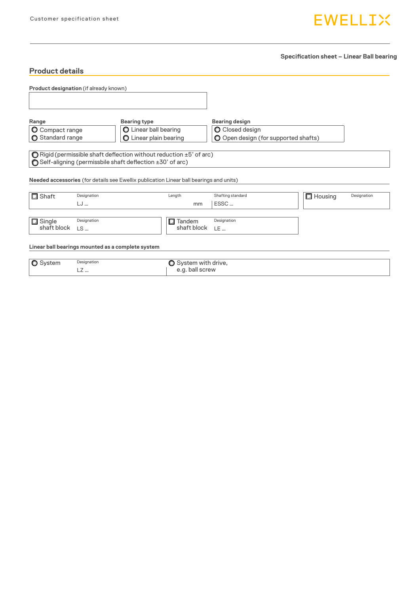# **EWELLIX**

**Specification sheet – Linear Ball bearing**

| <b>Product details</b>                 |             |                                                                                         |                      |                                      |                   |             |
|----------------------------------------|-------------|-----------------------------------------------------------------------------------------|----------------------|--------------------------------------|-------------------|-------------|
| Product designation (if already known) |             |                                                                                         |                      |                                      |                   |             |
|                                        |             |                                                                                         |                      |                                      |                   |             |
| Range                                  |             | <b>Bearing type</b>                                                                     |                      | <b>Bearing design</b>                |                   |             |
| <b>O</b> Compact range                 |             | O Linear ball bearing                                                                   |                      | <b>O</b> Closed design               |                   |             |
| Standard range                         |             | <b>O</b> Linear plain bearing                                                           |                      | O Open design (for supported shafts) |                   |             |
|                                        |             | Needed accessories (for details see Ewellix publication Linear ball bearings and units) |                      |                                      |                   |             |
| $\Box$ Shaft                           | Designation |                                                                                         | Length               | Shafting standard                    | $\square$ Housing | Designation |
|                                        | LJ          |                                                                                         | mm                   | ESSC                                 |                   |             |
| $\Box$ Single                          | Designation |                                                                                         | Tandem<br>□          | Designation                          |                   |             |
| shaft block                            | $LS$        |                                                                                         | shaft block          | LE                                   |                   |             |
|                                        |             | Linear ball bearings mounted as a complete system                                       |                      |                                      |                   |             |
| <b>O</b> System                        | Designation |                                                                                         | ◯ System with drive, |                                      |                   |             |

LZ … e.g. ball screw